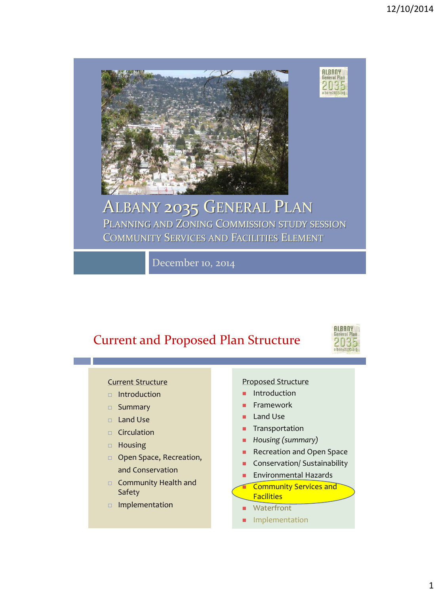

#### ALBANY 2035 GENERAL PLAN PLANNING AND ZONING COMMISSION STUDY SESSION COMMUNITY SERVICES AND FACILITIES ELEMENT

December 10, 2014

### Current and Proposed Plan Structure



**ALBANY**<br>General Plan

2035 albany2035.org

#### Current Structure

- $\Box$  Introduction
- □ Summary
- Land Use
- $\Box$  Circulation
- Housing
- **D** Open Space, Recreation, and Conservation
- □ Community Health and Safety
- Implementation

#### Proposed Structure

- Introduction
- Framework
- **Land Use**
- **Transportation**
- *Housing (summary)*
- Recreation and Open Space
- **Conservation/ Sustainability**
- Environmental Hazards
- Community Services and **Facilities**
- **Waterfront**
- **Implementation**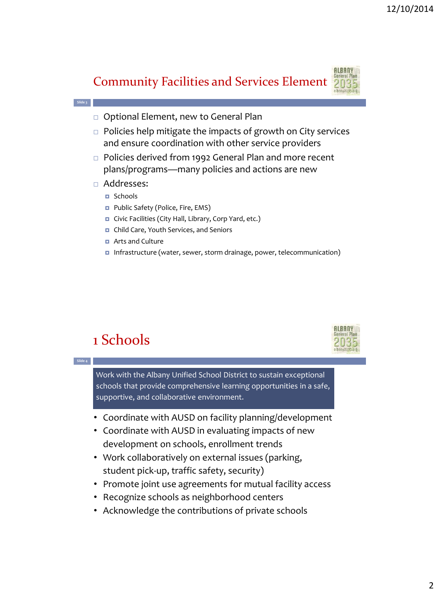



- $\Box$  Policies help mitigate the impacts of growth on City services and ensure coordination with other service providers
- □ Policies derived from 1992 General Plan and more recent plans/programs—many policies and actions are new
- Addresses:
	- Schools
	- **Public Safety (Police, Fire, EMS)**
	- Civic Facilities (City Hall, Library, Corp Yard, etc.)
	- Child Care, Youth Services, and Seniors
	- **D** Arts and Culture
	- Infrastructure (water, sewer, storm drainage, power, telecommunication)

# 1 Schools



**Slide 4**

**Slide 3**

Work with the Albany Unified School District to sustain exceptional schools that provide comprehensive learning opportunities in a safe, supportive, and collaborative environment.

- Coordinate with AUSD on facility planning/development
- Coordinate with AUSD in evaluating impacts of new development on schools, enrollment trends
- Work collaboratively on external issues (parking, student pick-up, traffic safety, security)
- Promote joint use agreements for mutual facility access
- Recognize schools as neighborhood centers
- Acknowledge the contributions of private schools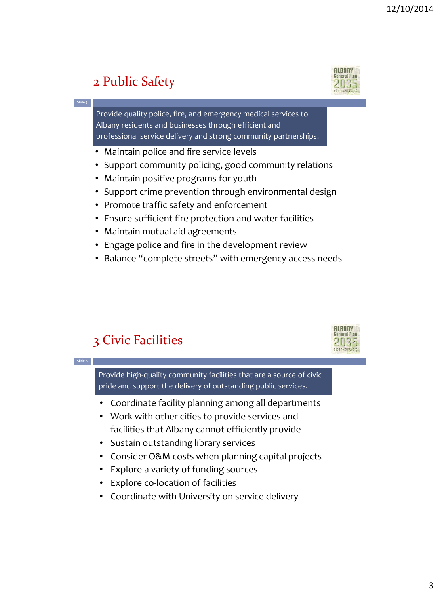# 2 Public Safety

**Slide 5**



**ALBANY** 2035

Provide quality police, fire, and emergency medical services to Albany residents and businesses through efficient and professional service delivery and strong community partnerships.

- Maintain police and fire service levels
- Support community policing, good community relations
- Maintain positive programs for youth
- Support crime prevention through environmental design
- Promote traffic safety and enforcement
- Ensure sufficient fire protection and water facilities
- Maintain mutual aid agreements
- Engage police and fire in the development review
- Balance "complete streets" with emergency access needs

## 3 Civic Facilities

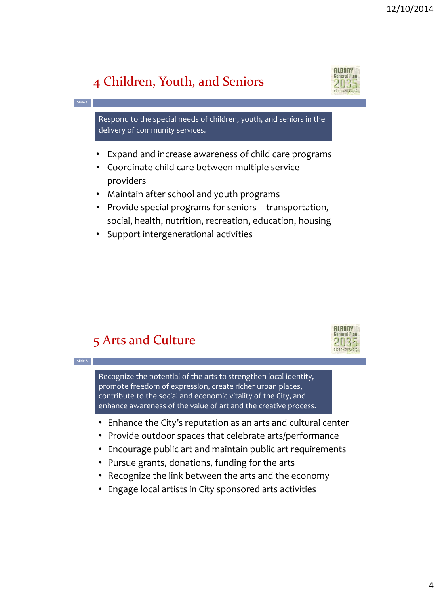## 4 Children, Youth, and Seniors

**Slide 7**

**Slide 8**



Respond to the special needs of children, youth, and seniors in the delivery of community services.

- Expand and increase awareness of child care programs
- Coordinate child care between multiple service providers
- Maintain after school and youth programs
- Provide special programs for seniors—transportation, social, health, nutrition, recreation, education, housing
- Support intergenerational activities

#### 5 Arts and Culture



Recognize the potential of the arts to strengthen local identity, promote freedom of expression, create richer urban places, contribute to the social and economic vitality of the City, and enhance awareness of the value of art and the creative process.

- Enhance the City's reputation as an arts and cultural center
- Provide outdoor spaces that celebrate arts/performance
- Encourage public art and maintain public art requirements
- Pursue grants, donations, funding for the arts
- Recognize the link between the arts and the economy
- Engage local artists in City sponsored arts activities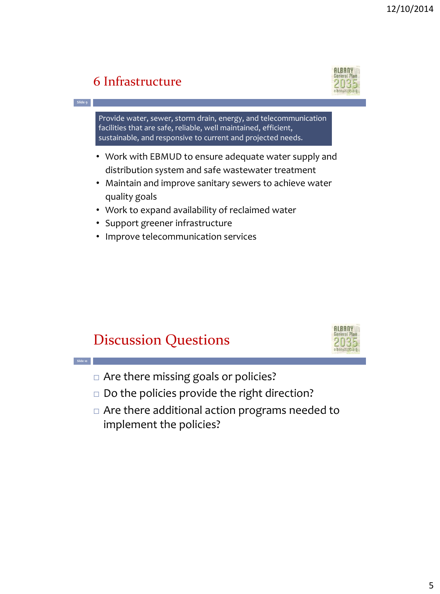# 6 Infrastructure

**Slide 9**

**Slide 10**

#### Provide water, sewer, storm drain, energy, and telecommunication facilities that are safe, reliable, well maintained, efficient, sustainable, and responsive to current and projected needs.

- Work with EBMUD to ensure adequate water supply and distribution system and safe wastewater treatment
- Maintain and improve sanitary sewers to achieve water quality goals
- Work to expand availability of reclaimed water
- Support greener infrastructure
- Improve telecommunication services

# Discussion Questions

- □ Are there missing goals or policies?
- $\square$  Do the policies provide the right direction?
- Are there additional action programs needed to implement the policies?